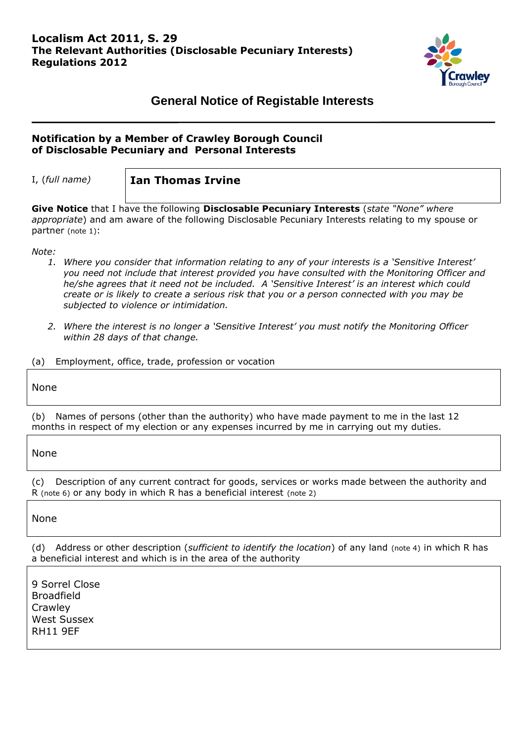

# **General Notice of Registable Interests**

# **Notification by a Member of Crawley Borough Council of Disclosable Pecuniary and Personal Interests**

I, (*full name)* **Ian Thomas Irvine**

**Give Notice** that I have the following **Disclosable Pecuniary Interests** (*state "None" where appropriate*) and am aware of the following Disclosable Pecuniary Interests relating to my spouse or partner (note 1):

*Note:*

- *1. Where you consider that information relating to any of your interests is a 'Sensitive Interest' you need not include that interest provided you have consulted with the Monitoring Officer and he/she agrees that it need not be included. A 'Sensitive Interest' is an interest which could create or is likely to create a serious risk that you or a person connected with you may be subjected to violence or intimidation.*
- *2. Where the interest is no longer a 'Sensitive Interest' you must notify the Monitoring Officer within 28 days of that change.*

(a) Employment, office, trade, profession or vocation

None

(b) Names of persons (other than the authority) who have made payment to me in the last 12 months in respect of my election or any expenses incurred by me in carrying out my duties.

None

(c) Description of any current contract for goods, services or works made between the authority and R (note 6) or any body in which R has a beneficial interest (note 2)

None

(d) Address or other description (*sufficient to identify the location*) of any land (note 4) in which R has a beneficial interest and which is in the area of the authority

9 Sorrel Close Broadfield **Crawley** West Sussex RH11 9EF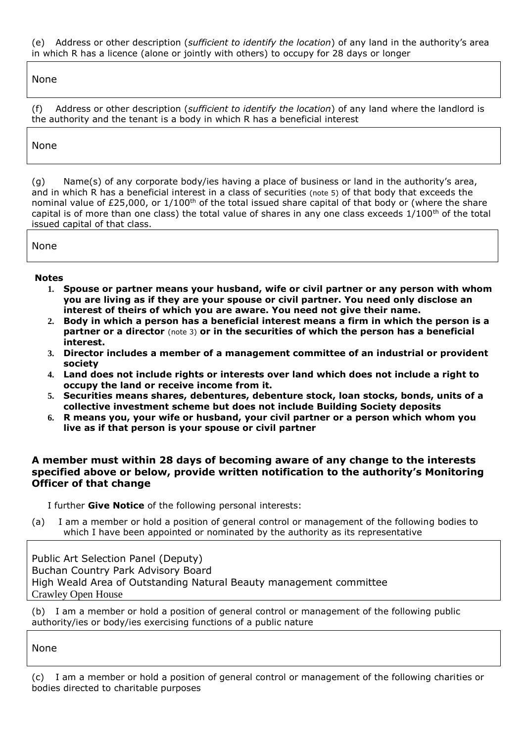(e) Address or other description (*sufficient to identify the location*) of any land in the authority's area in which R has a licence (alone or jointly with others) to occupy for 28 days or longer

None

(f) Address or other description (*sufficient to identify the location*) of any land where the landlord is the authority and the tenant is a body in which R has a beneficial interest

# None

(g) Name(s) of any corporate body/ies having a place of business or land in the authority's area, and in which R has a beneficial interest in a class of securities (note 5) of that body that exceeds the nominal value of £25,000, or  $1/100^{th}$  of the total issued share capital of that body or (where the share capital is of more than one class) the total value of shares in any one class exceeds  $1/100^{th}$  of the total issued capital of that class.

None

#### **Notes**

- **1. Spouse or partner means your husband, wife or civil partner or any person with whom you are living as if they are your spouse or civil partner. You need only disclose an interest of theirs of which you are aware. You need not give their name.**
- **2. Body in which a person has a beneficial interest means a firm in which the person is a partner or a director** (note 3) **or in the securities of which the person has a beneficial interest.**
- **3. Director includes a member of a management committee of an industrial or provident society**
- **4. Land does not include rights or interests over land which does not include a right to occupy the land or receive income from it.**
- **5. Securities means shares, debentures, debenture stock, loan stocks, bonds, units of a collective investment scheme but does not include Building Society deposits**
- **6. R means you, your wife or husband, your civil partner or a person which whom you live as if that person is your spouse or civil partner**

## **A member must within 28 days of becoming aware of any change to the interests specified above or below, provide written notification to the authority's Monitoring Officer of that change**

I further **Give Notice** of the following personal interests:

(a) I am a member or hold a position of general control or management of the following bodies to which I have been appointed or nominated by the authority as its representative

Public Art Selection Panel (Deputy) Buchan Country Park Advisory Board High Weald Area of Outstanding Natural Beauty management committee Crawley Open House

(b) I am a member or hold a position of general control or management of the following public authority/ies or body/ies exercising functions of a public nature

None

(c) I am a member or hold a position of general control or management of the following charities or bodies directed to charitable purposes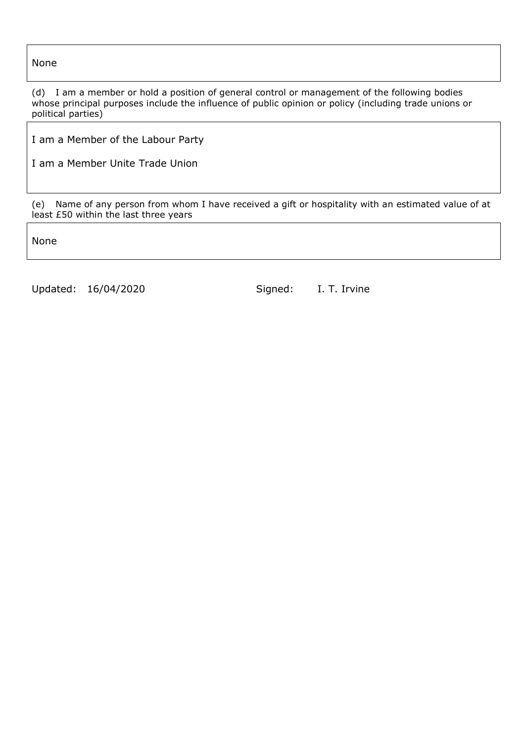None

(d) I am a member or hold a position of general control or management of the following bodies whose principal purposes include the influence of public opinion or policy (including trade unions or political parties)

I am a Member of the Labour Party

I am a Member Unite Trade Union

(e) Name of any person from whom I have received a gift or hospitality with an estimated value of at least £50 within the last three years

None

Updated: 16/04/2020 Signed: I. T. Irvine